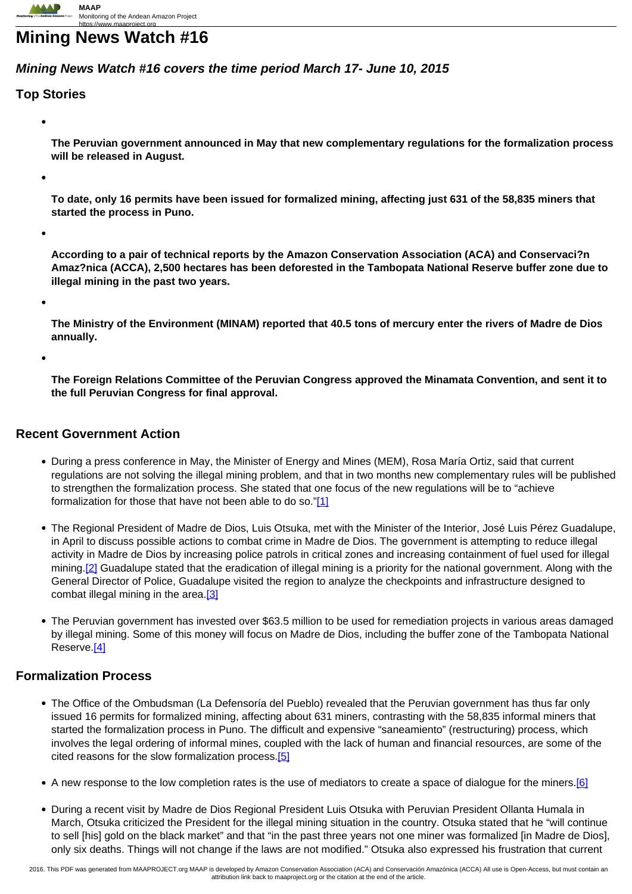# **Mining News Watch #16**

## **Mining News Watch #16 covers the time period March 17- June 10, 2015**

## **Top Stories**

**The Peruvian government announced in May that new complementary regulations for the formalization process will be released in August.**

**To date, only 16 permits have been issued for formalized mining, affecting just 631 of the 58,835 miners that started the process in Puno.**

**According to a pair of technical reports by the Amazon Conservation Association (ACA) and Conservaci?n Amaz?nica (ACCA), 2,500 hectares has been deforested in the Tambopata National Reserve buffer zone due to illegal mining in the past two years.**

**The Ministry of the Environment (MINAM) reported that 40.5 tons of mercury enter the rivers of Madre de Dios annually.**

**The Foreign Relations Committee of the Peruvian Congress approved the Minamata Convention, and sent it to the full Peruvian Congress for final approval.**

#### **Recent Government Action**

- During a press conference in May, the Minister of Energy and Mines (MEM), Rosa María Ortiz, said that current regulations are not solving the illegal mining problem, and that in two months new complementary rules will be published to strengthen the formalization process. She stated that one focus of the new regulations will be to "achieve formalization for those that have not been able to do so.["\[1\]](http://www.observatorioamazonia.pe/noticias/15/05/28/en-dos-meses-publicaran-normas-adicionales-para-combatir-mineria-ilegal)
- The Regional President of Madre de Dios, Luis Otsuka, met with the Minister of the Interior, José Luis Pérez Guadalupe, in April to discuss possible actions to combat crime in Madre de Dios. The government is attempting to reduce illegal activity in Madre de Dios by increasing police patrols in critical zones and increasing containment of fuel used for illegal mining.<sup>[2]</sup> Guadalupe stated that the eradication of illegal mining is a priority for the national government. Along with the General Director of Police, Guadalupe visited the region to analyze the checkpoints and infrastructure designed to combat illegal mining in the area.<sup>[3]</sup>
- The Peruvian government has invested over \$63.5 million to be used for remediation projects in various areas damaged by illegal mining. Some of this money will focus on Madre de Dios, including the buffer zone of the Tambopata National Reserve.[4]

#### **Formalization Process**

- The Office of the Ombudsman (La Defensoría del Pueblo) revealed that the Peruvian government has thus far only issued 16 permits for formalized mining, affecting about 631 miners, contrasting with the 58,835 informal miners that started the formalization process in Puno. The difficult and expensive "saneamiento" (restructuring) process, which involves the legal ordering of informal mines, coupled with the lack of human and financial resources, are some of the cited reasons for the slow formalization process.[5]
- A new response to the low completion rates is the use of mediators to create a space of dialogue for the miners.[6]
- During a recent visit by Madre de Dios Regional President Luis Otsuka with Peruvian President Ollanta Humala in March, Otsuka criticized the President for the illegal mining situation in the country. Otsuka stated that he "will continue to sell [his] gold on the black market" and that "in the past three years not one miner was formalized [in Madre de Dios], only six deaths. Things will not change if the laws are not modified." Otsuka also expressed his frustration that current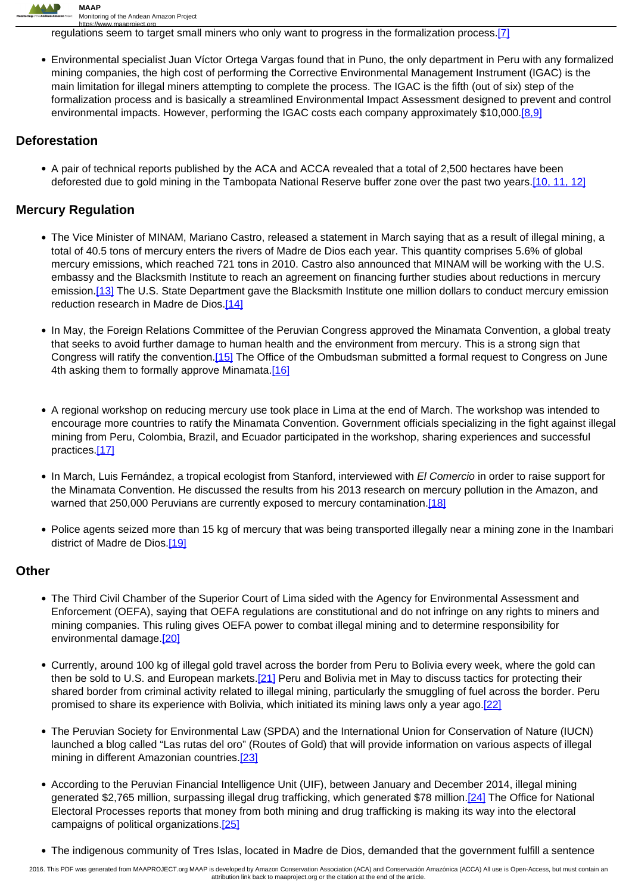

https://www.maaproject.org<br>regulations seem to target small miners who only want to progress in the formalization process.[7]

Environmental specialist Juan Víctor Ortega Vargas found that in Puno, the only department in Peru with any formalized mining companies, the high cost of performing the Corrective Environmental Management Instrument (IGAC) is the main limitation for illegal miners attempting to complete the process. The IGAC is the fifth (out of six) step of the formalization process and is basically a streamlined Environmental Impact Assessment designed to prevent and control environmental impacts. However, performing the IGAC costs each company approximately \$10,000.[8,9]

#### **Deforestation**

• A pair of technical reports published by the ACA and ACCA revealed that a total of 2,500 hectares have been deforested due to gold mining in the Tambopata National Reserve buffer zone over the past two years.[10, 11, 12]

### **Mercury Regulation**

- The Vice Minister of MINAM, Mariano Castro, released a statement in March saying that as a result of illegal mining, a total of 40.5 tons of mercury enters the rivers of Madre de Dios each year. This quantity comprises 5.6% of global mercury emissions, which reached 721 tons in 2010. Castro also announced that MINAM will be working with the U.S. embassy and the Blacksmith Institute to reach an agreement on financing further studies about reductions in mercury emission.[13] The U.S. State Department gave the Blacksmith Institute one million dollars to conduct mercury emission reduction research in Madre de Dios.[14]
- In May, the Foreign Relations Committee of the Peruvian Congress approved the Minamata Convention, a global treaty that seeks to avoid further damage to human health and the environment from mercury. This is a strong sign that Congress will ratify the convention.[15] The Office of the Ombudsman submitted a formal request to Congress on June 4th asking them to formally approve Minamata.[16]
- A regional workshop on reducing mercury use took place in Lima at the end of March. The workshop was intended to encourage more countries to ratify the Minamata Convention. Government officials specializing in the fight against illegal mining from Peru, Colombia, Brazil, and Ecuador participated in the workshop, sharing experiences and successful practices.[17]
- In March, Luis Fernández, a tropical ecologist from Stanford, interviewed with El Comercio in order to raise support for the Minamata Convention. He discussed the results from his 2013 research on mercury pollution in the Amazon, and warned that 250,000 Peruvians are currently exposed to mercury contamination.[18]
- Police agents seized more than 15 kg of mercury that was being transported illegally near a mining zone in the Inambari district of Madre de Dios.[19]

#### **Other**

- The Third Civil Chamber of the Superior Court of Lima sided with the Agency for Environmental Assessment and Enforcement (OEFA), saying that OEFA regulations are constitutional and do not infringe on any rights to miners and mining companies. This ruling gives OEFA power to combat illegal mining and to determine responsibility for environmental damage.<sup>[20]</sup>
- Currently, around 100 kg of illegal gold travel across the border from Peru to Bolivia every week, where the gold can then be sold to U.S. and European markets.<sup>[21]</sup> Peru and Bolivia met in May to discuss tactics for protecting their shared border from criminal activity related to illegal mining, particularly the smuggling of fuel across the border. Peru promised to share its experience with Bolivia, which initiated its mining laws only a year ago.[22]
- The Peruvian Society for Environmental Law (SPDA) and the International Union for Conservation of Nature (IUCN) launched a blog called "Las rutas del oro" (Routes of Gold) that will provide information on various aspects of illegal mining in different Amazonian countries.<sup>[23]</sup>
- According to the Peruvian Financial Intelligence Unit (UIF), between January and December 2014, illegal mining generated \$2,765 million, surpassing illegal drug trafficking, which generated \$78 million.[24] The Office for National Electoral Processes reports that money from both mining and drug trafficking is making its way into the electoral campaigns of political organizations.[25]
- The indigenous community of Tres Islas, located in Madre de Dios, demanded that the government fulfill a sentence